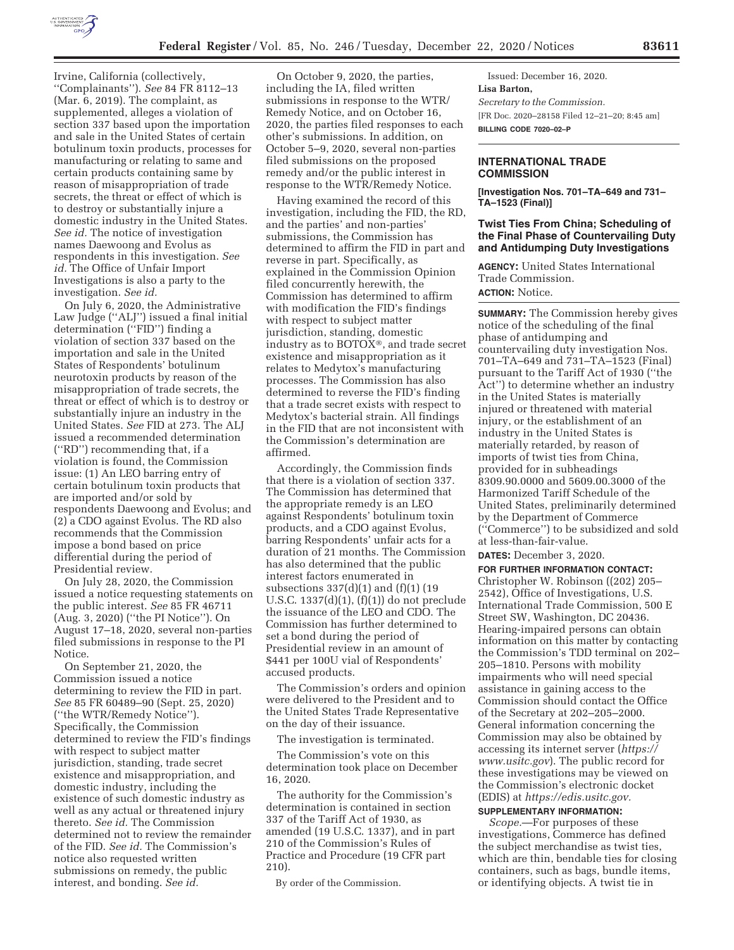

Irvine, California (collectively, ''Complainants''). *See* 84 FR 8112–13 (Mar. 6, 2019). The complaint, as supplemented, alleges a violation of section 337 based upon the importation and sale in the United States of certain botulinum toxin products, processes for manufacturing or relating to same and certain products containing same by reason of misappropriation of trade secrets, the threat or effect of which is to destroy or substantially injure a domestic industry in the United States. *See id.* The notice of investigation names Daewoong and Evolus as respondents in this investigation. *See id.* The Office of Unfair Import Investigations is also a party to the investigation. *See id.* 

On July 6, 2020, the Administrative Law Judge (''ALJ'') issued a final initial determination (''FID'') finding a violation of section 337 based on the importation and sale in the United States of Respondents' botulinum neurotoxin products by reason of the misappropriation of trade secrets, the threat or effect of which is to destroy or substantially injure an industry in the United States. *See* FID at 273. The ALJ issued a recommended determination (''RD'') recommending that, if a violation is found, the Commission issue: (1) An LEO barring entry of certain botulinum toxin products that are imported and/or sold by respondents Daewoong and Evolus; and (2) a CDO against Evolus. The RD also recommends that the Commission impose a bond based on price differential during the period of Presidential review.

On July 28, 2020, the Commission issued a notice requesting statements on the public interest. *See* 85 FR 46711 (Aug. 3, 2020) (''the PI Notice''). On August 17–18, 2020, several non-parties filed submissions in response to the PI Notice.

On September 21, 2020, the Commission issued a notice determining to review the FID in part. *See* 85 FR 60489–90 (Sept. 25, 2020) (''the WTR/Remedy Notice''). Specifically, the Commission determined to review the FID's findings with respect to subject matter jurisdiction, standing, trade secret existence and misappropriation, and domestic industry, including the existence of such domestic industry as well as any actual or threatened injury thereto. *See id.* The Commission determined not to review the remainder of the FID. *See id.* The Commission's notice also requested written submissions on remedy, the public interest, and bonding. *See id.* 

On October 9, 2020, the parties, including the IA, filed written submissions in response to the WTR/ Remedy Notice, and on October 16, 2020, the parties filed responses to each other's submissions. In addition, on October 5–9, 2020, several non-parties filed submissions on the proposed remedy and/or the public interest in response to the WTR/Remedy Notice.

Having examined the record of this investigation, including the FID, the RD, and the parties' and non-parties' submissions, the Commission has determined to affirm the FID in part and reverse in part. Specifically, as explained in the Commission Opinion filed concurrently herewith, the Commission has determined to affirm with modification the FID's findings with respect to subject matter jurisdiction, standing, domestic industry as to BOTOX®, and trade secret existence and misappropriation as it relates to Medytox's manufacturing processes. The Commission has also determined to reverse the FID's finding that a trade secret exists with respect to Medytox's bacterial strain. All findings in the FID that are not inconsistent with the Commission's determination are affirmed.

Accordingly, the Commission finds that there is a violation of section 337. The Commission has determined that the appropriate remedy is an LEO against Respondents' botulinum toxin products, and a CDO against Evolus, barring Respondents' unfair acts for a duration of 21 months. The Commission has also determined that the public interest factors enumerated in subsections 337(d)(1) and (f)(1) (19 U.S.C. 1337(d)(1), (f)(1)) do not preclude the issuance of the LEO and CDO. The Commission has further determined to set a bond during the period of Presidential review in an amount of \$441 per 100U vial of Respondents' accused products.

The Commission's orders and opinion were delivered to the President and to the United States Trade Representative on the day of their issuance.

The investigation is terminated.

The Commission's vote on this determination took place on December 16, 2020.

The authority for the Commission's determination is contained in section 337 of the Tariff Act of 1930, as amended (19 U.S.C. 1337), and in part 210 of the Commission's Rules of Practice and Procedure (19 CFR part 210).

By order of the Commission.

Issued: December 16, 2020. **Lisa Barton,**  *Secretary to the Commission.*  [FR Doc. 2020–28158 Filed 12–21–20; 8:45 am] **BILLING CODE 7020–02–P** 

## **INTERNATIONAL TRADE COMMISSION**

**[Investigation Nos. 701–TA–649 and 731– TA–1523 (Final)]** 

#### **Twist Ties From China; Scheduling of the Final Phase of Countervailing Duty and Antidumping Duty Investigations**

**AGENCY:** United States International Trade Commission. **ACTION:** Notice.

**SUMMARY:** The Commission hereby gives notice of the scheduling of the final phase of antidumping and countervailing duty investigation Nos. 701–TA–649 and 731–TA–1523 (Final) pursuant to the Tariff Act of 1930 (''the Act'') to determine whether an industry in the United States is materially injured or threatened with material injury, or the establishment of an industry in the United States is materially retarded, by reason of imports of twist ties from China, provided for in subheadings 8309.90.0000 and 5609.00.3000 of the Harmonized Tariff Schedule of the United States, preliminarily determined by the Department of Commerce (''Commerce'') to be subsidized and sold at less-than-fair-value.

**DATES:** December 3, 2020.

**FOR FURTHER INFORMATION CONTACT:**  Christopher W. Robinson ((202) 205– 2542), Office of Investigations, U.S. International Trade Commission, 500 E Street SW, Washington, DC 20436. Hearing-impaired persons can obtain information on this matter by contacting the Commission's TDD terminal on 202– 205–1810. Persons with mobility impairments who will need special assistance in gaining access to the Commission should contact the Office of the Secretary at 202–205–2000. General information concerning the Commission may also be obtained by accessing its internet server (*https:// www.usitc.gov*). The public record for these investigations may be viewed on the Commission's electronic docket (EDIS) at *https://edis.usitc.gov.* 

# **SUPPLEMENTARY INFORMATION:**

*Scope.*—For purposes of these investigations, Commerce has defined the subject merchandise as twist ties, which are thin, bendable ties for closing containers, such as bags, bundle items, or identifying objects. A twist tie in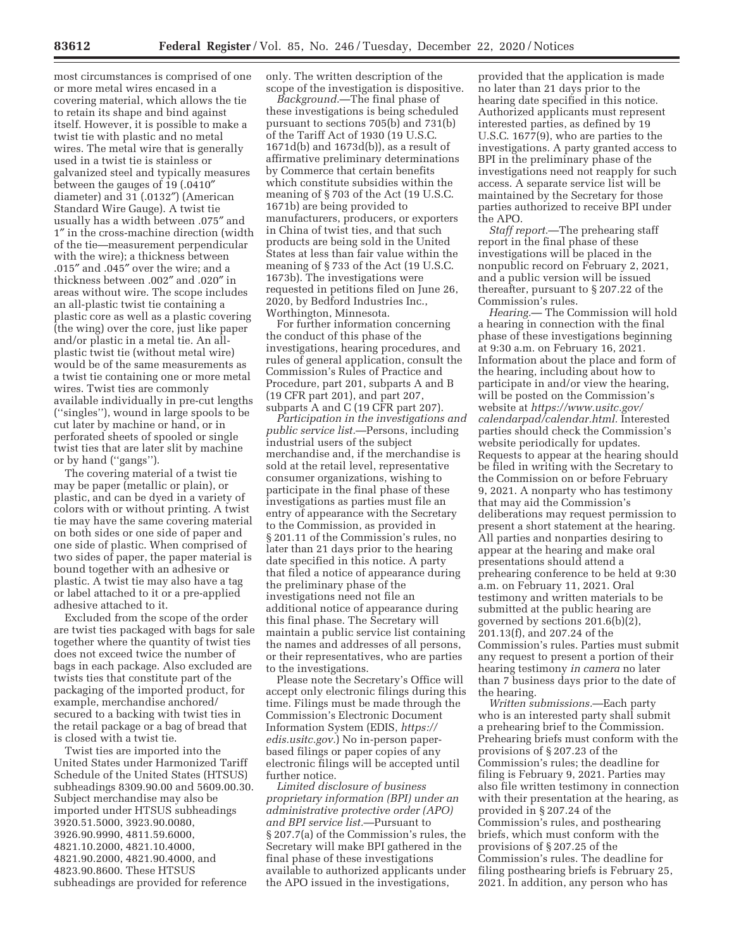most circumstances is comprised of one or more metal wires encased in a covering material, which allows the tie to retain its shape and bind against itself. However, it is possible to make a twist tie with plastic and no metal wires. The metal wire that is generally used in a twist tie is stainless or galvanized steel and typically measures between the gauges of 19 (.0410″ diameter) and 31 (.0132″) (American Standard Wire Gauge). A twist tie usually has a width between .075″ and 1″ in the cross-machine direction (width of the tie—measurement perpendicular with the wire); a thickness between .015″ and .045″ over the wire; and a thickness between .002″ and .020″ in areas without wire. The scope includes an all-plastic twist tie containing a plastic core as well as a plastic covering (the wing) over the core, just like paper and/or plastic in a metal tie. An allplastic twist tie (without metal wire) would be of the same measurements as a twist tie containing one or more metal wires. Twist ties are commonly available individually in pre-cut lengths (''singles''), wound in large spools to be cut later by machine or hand, or in perforated sheets of spooled or single twist ties that are later slit by machine or by hand (''gangs'').

The covering material of a twist tie may be paper (metallic or plain), or plastic, and can be dyed in a variety of colors with or without printing. A twist tie may have the same covering material on both sides or one side of paper and one side of plastic. When comprised of two sides of paper, the paper material is bound together with an adhesive or plastic. A twist tie may also have a tag or label attached to it or a pre-applied adhesive attached to it.

Excluded from the scope of the order are twist ties packaged with bags for sale together where the quantity of twist ties does not exceed twice the number of bags in each package. Also excluded are twists ties that constitute part of the packaging of the imported product, for example, merchandise anchored/ secured to a backing with twist ties in the retail package or a bag of bread that is closed with a twist tie.

Twist ties are imported into the United States under Harmonized Tariff Schedule of the United States (HTSUS) subheadings 8309.90.00 and 5609.00.30. Subject merchandise may also be imported under HTSUS subheadings 3920.51.5000, 3923.90.0080, 3926.90.9990, 4811.59.6000, 4821.10.2000, 4821.10.4000, 4821.90.2000, 4821.90.4000, and 4823.90.8600. These HTSUS subheadings are provided for reference

only. The written description of the scope of the investigation is dispositive.

*Background.*—The final phase of these investigations is being scheduled pursuant to sections 705(b) and 731(b) of the Tariff Act of 1930 (19 U.S.C. 1671d(b) and 1673d(b)), as a result of affirmative preliminary determinations by Commerce that certain benefits which constitute subsidies within the meaning of § 703 of the Act (19 U.S.C. 1671b) are being provided to manufacturers, producers, or exporters in China of twist ties, and that such products are being sold in the United States at less than fair value within the meaning of § 733 of the Act (19 U.S.C. 1673b). The investigations were requested in petitions filed on June 26, 2020, by Bedford Industries Inc., Worthington, Minnesota.

For further information concerning the conduct of this phase of the investigations, hearing procedures, and rules of general application, consult the Commission's Rules of Practice and Procedure, part 201, subparts A and B (19 CFR part 201), and part 207, subparts A and C (19 CFR part 207).

*Participation in the investigations and public service list.*—Persons, including industrial users of the subject merchandise and, if the merchandise is sold at the retail level, representative consumer organizations, wishing to participate in the final phase of these investigations as parties must file an entry of appearance with the Secretary to the Commission, as provided in § 201.11 of the Commission's rules, no later than 21 days prior to the hearing date specified in this notice. A party that filed a notice of appearance during the preliminary phase of the investigations need not file an additional notice of appearance during this final phase. The Secretary will maintain a public service list containing the names and addresses of all persons, or their representatives, who are parties to the investigations.

Please note the Secretary's Office will accept only electronic filings during this time. Filings must be made through the Commission's Electronic Document Information System (EDIS, *https:// edis.usitc.gov.*) No in-person paperbased filings or paper copies of any electronic filings will be accepted until further notice.

*Limited disclosure of business proprietary information (BPI) under an administrative protective order (APO) and BPI service list.*—Pursuant to § 207.7(a) of the Commission's rules, the Secretary will make BPI gathered in the final phase of these investigations available to authorized applicants under the APO issued in the investigations,

provided that the application is made no later than 21 days prior to the hearing date specified in this notice. Authorized applicants must represent interested parties, as defined by 19 U.S.C. 1677(9), who are parties to the investigations. A party granted access to BPI in the preliminary phase of the investigations need not reapply for such access. A separate service list will be maintained by the Secretary for those parties authorized to receive BPI under the APO.

*Staff report.*—The prehearing staff report in the final phase of these investigations will be placed in the nonpublic record on February 2, 2021, and a public version will be issued thereafter, pursuant to § 207.22 of the Commission's rules.

*Hearing.*— The Commission will hold a hearing in connection with the final phase of these investigations beginning at 9:30 a.m. on February 16, 2021. Information about the place and form of the hearing, including about how to participate in and/or view the hearing, will be posted on the Commission's website at *https://www.usitc.gov/ calendarpad/calendar.html.* Interested parties should check the Commission's website periodically for updates. Requests to appear at the hearing should be filed in writing with the Secretary to the Commission on or before February 9, 2021. A nonparty who has testimony that may aid the Commission's deliberations may request permission to present a short statement at the hearing. All parties and nonparties desiring to appear at the hearing and make oral presentations should attend a prehearing conference to be held at 9:30 a.m. on February 11, 2021. Oral testimony and written materials to be submitted at the public hearing are governed by sections 201.6(b)(2), 201.13(f), and 207.24 of the Commission's rules. Parties must submit any request to present a portion of their hearing testimony *in camera* no later than 7 business days prior to the date of the hearing.

*Written submissions.*—Each party who is an interested party shall submit a prehearing brief to the Commission. Prehearing briefs must conform with the provisions of § 207.23 of the Commission's rules; the deadline for filing is February 9, 2021. Parties may also file written testimony in connection with their presentation at the hearing, as provided in § 207.24 of the Commission's rules, and posthearing briefs, which must conform with the provisions of § 207.25 of the Commission's rules. The deadline for filing posthearing briefs is February 25, 2021. In addition, any person who has